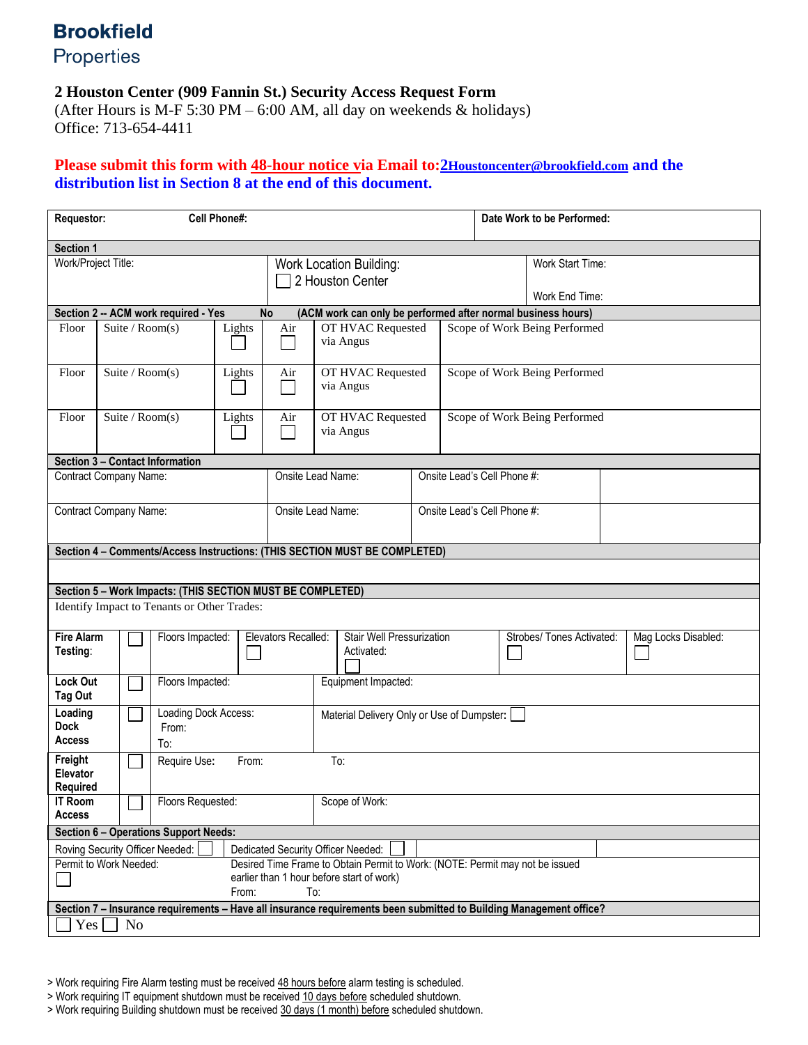## **Brookfield**

Properties

## **2 Houston Center (909 Fannin St.) Security Access Request Form**

(After Hours is M-F 5:30 PM – 6:00 AM, all day on weekends & holidays) Office: 713-654-4411

## **Please submit this form with 48-hour notice via Email to:2[Houstoncenter@brookfield.com](mailto:2Houstoncenter@brookfield.com) and the distribution list in Section 8 at the end of this document.**

| Requestor:                                                                                                        |                   |                                      |                                                            | <b>Cell Phone#:</b>                                |                                                                                                                                           |                                         |                                            |                               |                                    | Date Work to be Performed:    |                                                                                                                    |                     |  |  |
|-------------------------------------------------------------------------------------------------------------------|-------------------|--------------------------------------|------------------------------------------------------------|----------------------------------------------------|-------------------------------------------------------------------------------------------------------------------------------------------|-----------------------------------------|--------------------------------------------|-------------------------------|------------------------------------|-------------------------------|--------------------------------------------------------------------------------------------------------------------|---------------------|--|--|
| Section 1                                                                                                         |                   |                                      |                                                            |                                                    |                                                                                                                                           |                                         |                                            |                               |                                    |                               |                                                                                                                    |                     |  |  |
| Work/Project Title:                                                                                               |                   |                                      |                                                            | <b>Work Location Building:</b><br>2 Houston Center |                                                                                                                                           |                                         |                                            |                               | Work Start Time:<br>Work End Time: |                               |                                                                                                                    |                     |  |  |
| Section 2 -- ACM work required - Yes<br><b>No</b><br>(ACM work can only be performed after normal business hours) |                   |                                      |                                                            |                                                    |                                                                                                                                           |                                         |                                            |                               |                                    |                               |                                                                                                                    |                     |  |  |
| Floor                                                                                                             |                   |                                      | Suite / $Room(s)$                                          | Lights                                             | OT HVAC Requested<br>Air<br>via Angus                                                                                                     |                                         |                                            |                               | Scope of Work Being Performed      |                               |                                                                                                                    |                     |  |  |
| Floor                                                                                                             | Suite / $Room(s)$ |                                      |                                                            | Lights                                             | OT HVAC Requested<br>Air<br>via Angus                                                                                                     |                                         |                                            | Scope of Work Being Performed |                                    |                               |                                                                                                                    |                     |  |  |
| Floor                                                                                                             | Suite / $Room(s)$ |                                      |                                                            | Lights                                             | Air                                                                                                                                       | OT HVAC Requested<br>via Angus          |                                            |                               |                                    | Scope of Work Being Performed |                                                                                                                    |                     |  |  |
| Section 3 - Contact Information                                                                                   |                   |                                      |                                                            |                                                    |                                                                                                                                           |                                         |                                            |                               |                                    |                               |                                                                                                                    |                     |  |  |
| Contract Company Name:                                                                                            |                   |                                      | Onsite Lead Name:                                          |                                                    |                                                                                                                                           | Onsite Lead's Cell Phone #:             |                                            |                               |                                    |                               |                                                                                                                    |                     |  |  |
| Contract Company Name:                                                                                            |                   |                                      |                                                            |                                                    | Onsite Lead Name:                                                                                                                         |                                         |                                            |                               | Onsite Lead's Cell Phone #:        |                               |                                                                                                                    |                     |  |  |
| Section 4 - Comments/Access Instructions: (THIS SECTION MUST BE COMPLETED)                                        |                   |                                      |                                                            |                                                    |                                                                                                                                           |                                         |                                            |                               |                                    |                               |                                                                                                                    |                     |  |  |
|                                                                                                                   |                   |                                      |                                                            |                                                    |                                                                                                                                           |                                         |                                            |                               |                                    |                               |                                                                                                                    |                     |  |  |
|                                                                                                                   |                   |                                      | Section 5 - Work Impacts: (THIS SECTION MUST BE COMPLETED) |                                                    |                                                                                                                                           |                                         |                                            |                               |                                    |                               |                                                                                                                    |                     |  |  |
| Identify Impact to Tenants or Other Trades:                                                                       |                   |                                      |                                                            |                                                    |                                                                                                                                           |                                         |                                            |                               |                                    |                               |                                                                                                                    |                     |  |  |
| <b>Fire Alarm</b><br>Testing:                                                                                     | Floors Impacted:  |                                      |                                                            | Elevators Recalled:                                |                                                                                                                                           | Stair Well Pressurization<br>Activated: |                                            |                               |                                    | Strobes/ Tones Activated:     |                                                                                                                    | Mag Locks Disabled: |  |  |
| <b>Lock Out</b><br>Tag Out                                                                                        |                   | Floors Impacted:                     |                                                            |                                                    |                                                                                                                                           |                                         | Equipment Impacted:                        |                               |                                    |                               |                                                                                                                    |                     |  |  |
| Loading<br><b>Dock</b><br><b>Access</b>                                                                           |                   | Loading Dock Access:<br>From:<br>To: |                                                            |                                                    |                                                                                                                                           |                                         | Material Delivery Only or Use of Dumpster: |                               |                                    |                               |                                                                                                                    |                     |  |  |
| Freight<br>Elevator<br><b>Required</b>                                                                            |                   | To:<br>Require Use:<br>From:         |                                                            |                                                    |                                                                                                                                           |                                         |                                            |                               |                                    |                               |                                                                                                                    |                     |  |  |
| <b>IT Room</b><br><b>Access</b>                                                                                   |                   | Floors Requested:                    |                                                            |                                                    |                                                                                                                                           | Scope of Work:                          |                                            |                               |                                    |                               |                                                                                                                    |                     |  |  |
| Section 6 - Operations Support Needs:                                                                             |                   |                                      |                                                            |                                                    |                                                                                                                                           |                                         |                                            |                               |                                    |                               |                                                                                                                    |                     |  |  |
|                                                                                                                   |                   |                                      | Roving Security Officer Needed:                            |                                                    | Dedicated Security Officer Needed:                                                                                                        |                                         |                                            |                               |                                    |                               |                                                                                                                    |                     |  |  |
| Permit to Work Needed:                                                                                            |                   |                                      |                                                            |                                                    | Desired Time Frame to Obtain Permit to Work: (NOTE: Permit may not be issued<br>earlier than 1 hour before start of work)<br>To:<br>From: |                                         |                                            |                               |                                    |                               |                                                                                                                    |                     |  |  |
|                                                                                                                   |                   |                                      |                                                            |                                                    |                                                                                                                                           |                                         |                                            |                               |                                    |                               | Section 7 - Insurance requirements - Have all insurance requirements been submitted to Building Management office? |                     |  |  |
| Yes                                                                                                               |                   | No                                   |                                                            |                                                    |                                                                                                                                           |                                         |                                            |                               |                                    |                               |                                                                                                                    |                     |  |  |

> Work requiring Fire Alarm testing must be received 48 hours before alarm testing is scheduled.

> Work requiring IT equipment shutdown must be received 10 days before scheduled shutdown.

> Work requiring Building shutdown must be received 30 days (1 month) before scheduled shutdown.